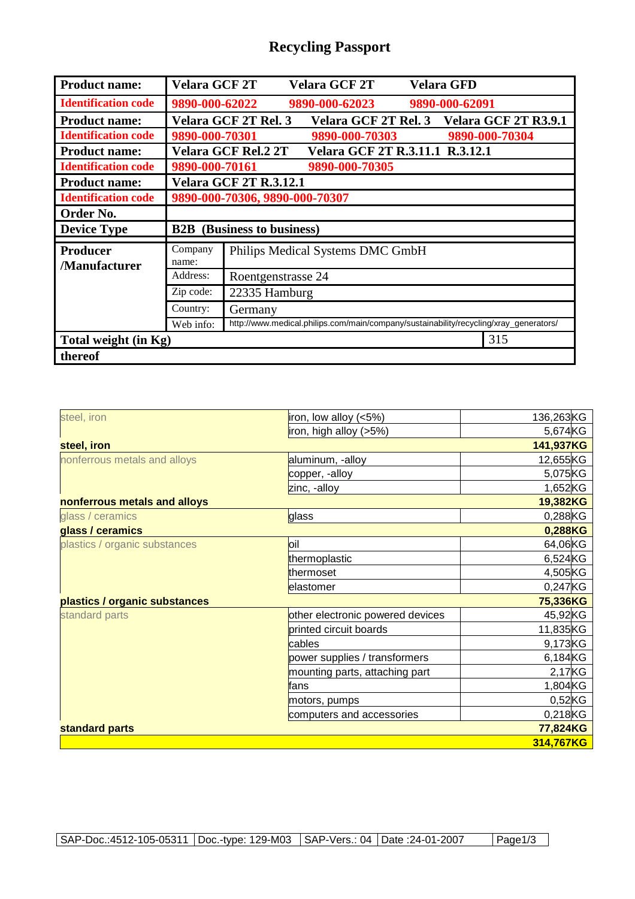## **Recycling Passport**

| <b>Product name:</b>             | <b>Velara GCF 2T</b>              |                                                                                       | <b>Velara GCF 2T</b>            | <b>Velara GFD</b> |                      |  |
|----------------------------------|-----------------------------------|---------------------------------------------------------------------------------------|---------------------------------|-------------------|----------------------|--|
| <b>Identification code</b>       | 9890-000-62022                    |                                                                                       | 9890-000-62023                  | 9890-000-62091    |                      |  |
| <b>Product name:</b>             |                                   | Velara GCF 2T Rel. 3                                                                  | <b>Velara GCF 2T Rel. 3</b>     |                   | Velara GCF 2T R3.9.1 |  |
| <b>Identification code</b>       | 9890-000-70301                    |                                                                                       | 9890-000-70303                  |                   | 9890-000-70304       |  |
| <b>Product name:</b>             |                                   | Velara GCF Rel.2 2T                                                                   | Velara GCF 2T R.3.11.1 R.3.12.1 |                   |                      |  |
| <b>Identification code</b>       | 9890-000-70161                    |                                                                                       | 9890-000-70305                  |                   |                      |  |
| <b>Product name:</b>             | <b>Velara GCF 2T R.3.12.1</b>     |                                                                                       |                                 |                   |                      |  |
| <b>Identification code</b>       | 9890-000-70306, 9890-000-70307    |                                                                                       |                                 |                   |                      |  |
| Order No.                        |                                   |                                                                                       |                                 |                   |                      |  |
| <b>Device Type</b>               | <b>B2B</b> (Business to business) |                                                                                       |                                 |                   |                      |  |
| <b>Producer</b><br>/Manufacturer | Company<br>name:                  | Philips Medical Systems DMC GmbH                                                      |                                 |                   |                      |  |
|                                  | Address:                          | Roentgenstrasse 24                                                                    |                                 |                   |                      |  |
|                                  | Zip code:                         | 22335 Hamburg                                                                         |                                 |                   |                      |  |
|                                  | Country:                          | Germany                                                                               |                                 |                   |                      |  |
|                                  | Web info:                         | http://www.medical.philips.com/main/company/sustainability/recycling/xray_generators/ |                                 |                   |                      |  |
| Total weight (in Kg)             |                                   |                                                                                       |                                 |                   | 315                  |  |
|                                  |                                   |                                                                                       |                                 |                   |                      |  |

| steel, iron                   | iron, low alloy (<5%)            | 136,263KG |  |  |
|-------------------------------|----------------------------------|-----------|--|--|
|                               | iron, high alloy (>5%)           | 5,674KG   |  |  |
| steel, iron                   | 141,937KG                        |           |  |  |
| nonferrous metals and alloys  | aluminum, -alloy                 | 12,655KG  |  |  |
|                               | copper, -alloy                   | 5,075KG   |  |  |
|                               | zinc, -alloy                     | 1,652KG   |  |  |
| nonferrous metals and alloys  |                                  | 19,382KG  |  |  |
| glass / ceramics              | glass                            | 0,288KG   |  |  |
| glass / ceramics              |                                  | 0,288KG   |  |  |
| plastics / organic substances | loil                             | 64,06KG   |  |  |
|                               | thermoplastic                    | 6,524KG   |  |  |
|                               | thermoset                        | 4,505KG   |  |  |
|                               | elastomer                        | 0,247KG   |  |  |
| plastics / organic substances |                                  | 75,336KG  |  |  |
| standard parts                | other electronic powered devices | 45,92KG   |  |  |
|                               | printed circuit boards           | 11,835KG  |  |  |
|                               | cables                           | 9,173KG   |  |  |
|                               | power supplies / transformers    | 6,184KG   |  |  |
|                               | mounting parts, attaching part   | 2,17KG    |  |  |
|                               | fans                             | 1,804KG   |  |  |
|                               | motors, pumps                    | $0,52$ KG |  |  |
|                               | computers and accessories        | 0,218KG   |  |  |
| standard parts                |                                  | 77,824KG  |  |  |
|                               |                                  | 314,767KG |  |  |
|                               |                                  |           |  |  |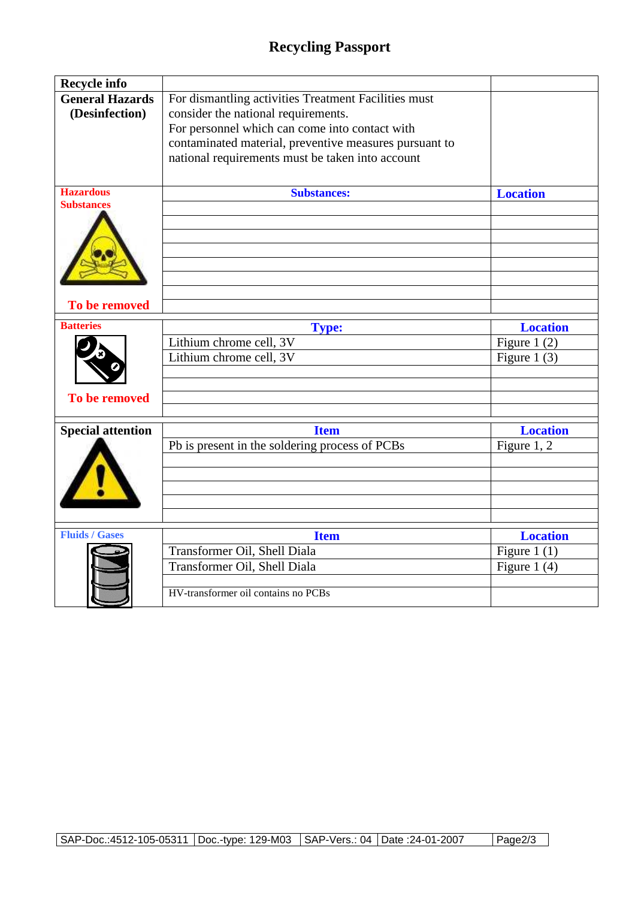## **Recycling Passport**

| <b>Recycle info</b>      |                                                        |                 |
|--------------------------|--------------------------------------------------------|-----------------|
| <b>General Hazards</b>   | For dismantling activities Treatment Facilities must   |                 |
| (Desinfection)           | consider the national requirements.                    |                 |
|                          | For personnel which can come into contact with         |                 |
|                          | contaminated material, preventive measures pursuant to |                 |
|                          | national requirements must be taken into account       |                 |
|                          |                                                        |                 |
| <b>Hazardous</b>         | <b>Substances:</b>                                     | <b>Location</b> |
| <b>Substances</b>        |                                                        |                 |
|                          |                                                        |                 |
|                          |                                                        |                 |
|                          |                                                        |                 |
|                          |                                                        |                 |
|                          |                                                        |                 |
| To be removed            |                                                        |                 |
| <b>Batteries</b>         | <b>Type:</b>                                           | <b>Location</b> |
|                          | Lithium chrome cell, 3V                                | Figure 1 $(2)$  |
|                          | Lithium chrome cell, 3V                                | Figure 1 $(3)$  |
|                          |                                                        |                 |
|                          |                                                        |                 |
| To be removed            |                                                        |                 |
| <b>Special attention</b> | <b>Item</b>                                            | <b>Location</b> |
|                          | Pb is present in the soldering process of PCBs         | Figure 1, 2     |
|                          |                                                        |                 |
|                          |                                                        |                 |
|                          |                                                        |                 |
|                          |                                                        |                 |
|                          |                                                        |                 |
| <b>Fluids / Gases</b>    | <b>Item</b>                                            | <b>Location</b> |
|                          | Transformer Oil, Shell Diala                           | Figure $1(1)$   |
|                          | Transformer Oil, Shell Diala                           | Figure 1 $(4)$  |
|                          |                                                        |                 |
|                          | HV-transformer oil contains no PCBs                    |                 |